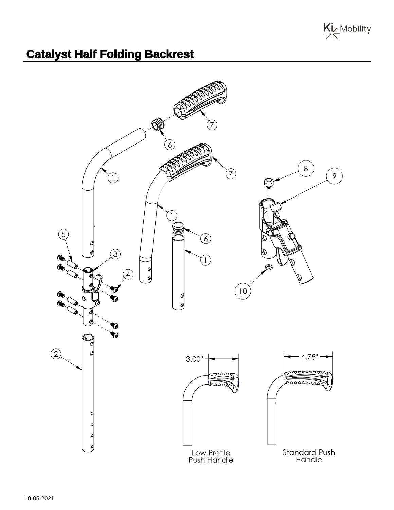Kiz Mobility

## **Catalyst Half Folding Backrest**

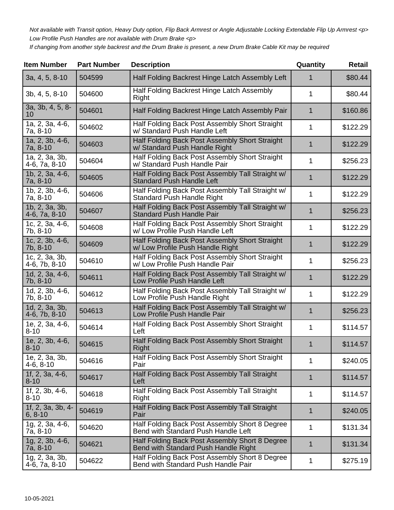Not available with Transit option, Heavy Duty option, Flip Back Armrest or Angle Adjustable Locking Extendable Flip Up Armrest <p> Low Profile Push Handles are not available with Drum Brake <p>

If changing from another style backrest and the Drum Brake is present, a new Drum Brake Cable Kit may be required

| <b>Item Number</b>              | <b>Part Number</b> | <b>Description</b>                                                                     | Quantity | <b>Retail</b> |
|---------------------------------|--------------------|----------------------------------------------------------------------------------------|----------|---------------|
| 3a, 4, 5, 8-10                  | 504599             | Half Folding Backrest Hinge Latch Assembly Left                                        | 1        | \$80.44       |
| 3b, 4, 5, 8-10                  | 504600             | Half Folding Backrest Hinge Latch Assembly<br>Right                                    | 1        | \$80.44       |
| 3a, 3b, 4, 5, 8-<br>10          | 504601             | Half Folding Backrest Hinge Latch Assembly Pair                                        | 1        | \$160.86      |
| 1a, 2, 3a, 4-6,<br>7a, 8-10     | 504602             | Half Folding Back Post Assembly Short Straight<br>w/ Standard Push Handle Left         | 1        | \$122.29      |
| 1a, 2, 3b, 4-6,<br>7a, 8-10     | 504603             | Half Folding Back Post Assembly Short Straight<br>w/ Standard Push Handle Right        | 1        | \$122.29      |
| 1a, 2, 3a, 3b,<br>4-6, 7a, 8-10 | 504604             | Half Folding Back Post Assembly Short Straight<br>w/ Standard Push Handle Pair         | 1        | \$256.23      |
| $1b, 2, 3a, 4-6,$<br>7a, 8-10   | 504605             | Half Folding Back Post Assembly Tall Straight w/<br><b>Standard Push Handle Left</b>   | 1        | \$122.29      |
| 1b, 2, 3b, 4-6,<br>7a, 8-10     | 504606             | Half Folding Back Post Assembly Tall Straight w/<br><b>Standard Push Handle Right</b>  | 1        | \$122.29      |
| 1b, 2, 3a, 3b,<br>4-6, 7a, 8-10 | 504607             | Half Folding Back Post Assembly Tall Straight w/<br>Standard Push Handle Pair          | 1        | \$256.23      |
| 1c, 2, 3a, 4-6,<br>7b, 8-10     | 504608             | Half Folding Back Post Assembly Short Straight<br>w/ Low Profile Push Handle Left      | 1        | \$122.29      |
| 1c, 2, 3b, 4-6,<br>7b, 8-10     | 504609             | Half Folding Back Post Assembly Short Straight<br>w/ Low Profile Push Handle Right     | 1        | \$122.29      |
| 1c, 2, 3a, 3b,<br>4-6, 7b, 8-10 | 504610             | Half Folding Back Post Assembly Short Straight<br>w/ Low Profile Push Handle Pair      | 1        | \$256.23      |
| 1d, 2, 3a, 4-6,<br>7b, 8-10     | 504611             | Half Folding Back Post Assembly Tall Straight w/<br>Low Profile Push Handle Left       | 1        | \$122.29      |
| $1d, 2, 3b, 4-6,$<br>7b, 8-10   | 504612             | Half Folding Back Post Assembly Tall Straight w/<br>Low Profile Push Handle Right      | 1        | \$122.29      |
| 1d, 2, 3a, 3b,<br>4-6, 7b, 8-10 | 504613             | Half Folding Back Post Assembly Tall Straight w/<br>Low Profile Push Handle Pair       | 1        | \$256.23      |
| 1e, 2, 3a, 4-6,<br>$8 - 10$     | 504614             | Half Folding Back Post Assembly Short Straight<br>Left                                 | 1        | \$114.57      |
| 1e, 2, 3b, 4-6,<br>$8 - 10$     | 504615             | Half Folding Back Post Assembly Short Straight<br><b>Right</b>                         | 1        | \$114.57      |
| 1e, 2, 3a, 3b,<br>$4-6, 8-10$   | 504616             | Half Folding Back Post Assembly Short Straight<br>Pair                                 | 1        | \$240.05      |
| 1f, 2, 3a, 4-6,<br>$8 - 10$     | 504617             | Half Folding Back Post Assembly Tall Straight<br>Left                                  | 1        | \$114.57      |
| 1f, 2, 3b, 4-6,<br>$8 - 10$     | 504618             | Half Folding Back Post Assembly Tall Straight<br>Right                                 | 1        | \$114.57      |
| 1f, 2, 3a, 3b, 4-<br>$6, 8-10$  | 504619             | Half Folding Back Post Assembly Tall Straight<br>Pair                                  | 1        | \$240.05      |
| 1g, 2, 3a, 4-6,<br>7a, 8-10     | 504620             | Half Folding Back Post Assembly Short 8 Degree<br>Bend with Standard Push Handle Left  | 1        | \$131.34      |
| 1g, 2, 3b, 4-6,<br>7a, 8-10     | 504621             | Half Folding Back Post Assembly Short 8 Degree<br>Bend with Standard Push Handle Right | 1        | \$131.34      |
| 1g, 2, 3a, 3b,<br>4-6, 7a, 8-10 | 504622             | Half Folding Back Post Assembly Short 8 Degree<br>Bend with Standard Push Handle Pair  | 1        | \$275.19      |